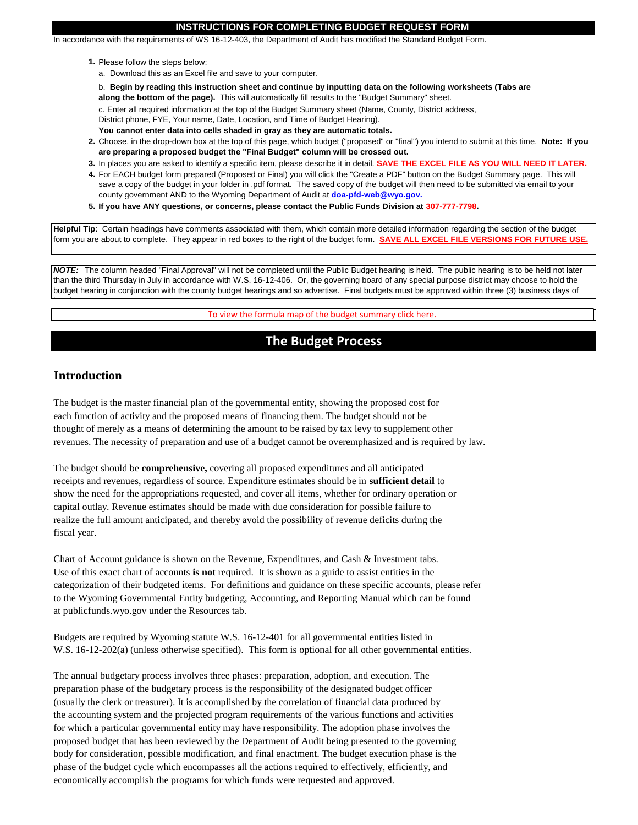#### **INSTRUCTIONS FOR COMPLETING BUDGET REQUEST FORM**

In accordance with the requirements of WS 16-12-403, the Department of Audit has modified the Standard Budget Form.

- **1.** Please follow the steps below:
	- a. Download this as an Excel file and save to your computer.
	- b. **Begin by reading this instruction sheet and continue by inputting data on the following worksheets (Tabs are along the bottom of the page).** This will automatically fill results to the "Budget Summary" sheet.

c. Enter all required information at the top of the Budget Summary sheet (Name, County, District address,

District phone, FYE, Your name, Date, Location, and Time of Budget Hearing).

- **You cannot enter data into cells shaded in gray as they are automatic totals.**
- **2.** Choose, in the drop-down box at the top of this page, which budget ("proposed" or "final") you intend to submit at this time. **Note: If you are preparing a proposed budget the "Final Budget" column will be crossed out.**
- **3.** In places you are asked to identify a specific item, please describe it in detail. **SAVE THE EXCEL FILE AS YOU WILL NEED IT LATER.**
- **4.** For EACH budget form prepared (Proposed or Final) you will click the "Create a PDF" button on the Budget Summary page. This will save a copy of the budget in your folder in .pdf format. The saved copy of the budget will then need to be submitted via email to your county government AND to the Wyoming Department of Audit at **doa-pfd-web@wyo.gov.**
- **5. If you have ANY questions, or concerns, please contact the Public Funds Division at 307-777-7798.**

**Helpful Tip**: Certain headings have comments associated with them, which contain more detailed information regarding the section of the budget form you are about to complete. They appear in red boxes to the right of the budget form. **SAVE ALL EXCEL FILE VERSIONS FOR FUTURE USE.**

*NOTE:* The column headed "Final Approval" will not be completed until the Public Budget hearing is held. The public hearing is to be held not later than the third Thursday in July in accordance with W.S. 16-12-406. Or, the governing board of any special purpose district may choose to hold the budget hearing in conjunction with the county budget hearings and so advertise. Final budgets must be approved within three (3) business days of

To view the formula map of the budget summary click here.

## **The Budget Process**

## **Introduction**

hearing.

The budget is the master financial plan of the governmental entity, showing the proposed cost for each function of activity and the proposed means of financing them. The budget should not be thought of merely as a means of determining the amount to be raised by tax levy to supplement other revenues. The necessity of preparation and use of a budget cannot be overemphasized and is required by law.

The budget should be **comprehensive,** covering all proposed expenditures and all anticipated receipts and revenues, regardless of source. Expenditure estimates should be in **sufficient detail** to show the need for the appropriations requested, and cover all items, whether for ordinary operation or capital outlay. Revenue estimates should be made with due consideration for possible failure to realize the full amount anticipated, and thereby avoid the possibility of revenue deficits during the fiscal year.

Chart of Account guidance is shown on the Revenue, Expenditures, and Cash & Investment tabs. Use of this exact chart of accounts **is not** required. It is shown as a guide to assist entities in the categorization of their budgeted items. For definitions and guidance on these specific accounts, please refer to the Wyoming Governmental Entity budgeting, Accounting, and Reporting Manual which can be found at publicfunds.wyo.gov under the Resources tab.

Budgets are required by Wyoming statute W.S. 16-12-401 for all governmental entities listed in W.S. 16-12-202(a) (unless otherwise specified). This form is optional for all other governmental entities.

The annual budgetary process involves three phases: preparation, adoption, and execution. The preparation phase of the budgetary process is the responsibility of the designated budget officer (usually the clerk or treasurer). It is accomplished by the correlation of financial data produced by the accounting system and the projected program requirements of the various functions and activities for which a particular governmental entity may have responsibility. The adoption phase involves the proposed budget that has been reviewed by the Department of Audit being presented to the governing body for consideration, possible modification, and final enactment. The budget execution phase is the phase of the budget cycle which encompasses all the actions required to effectively, efficiently, and economically accomplish the programs for which funds were requested and approved.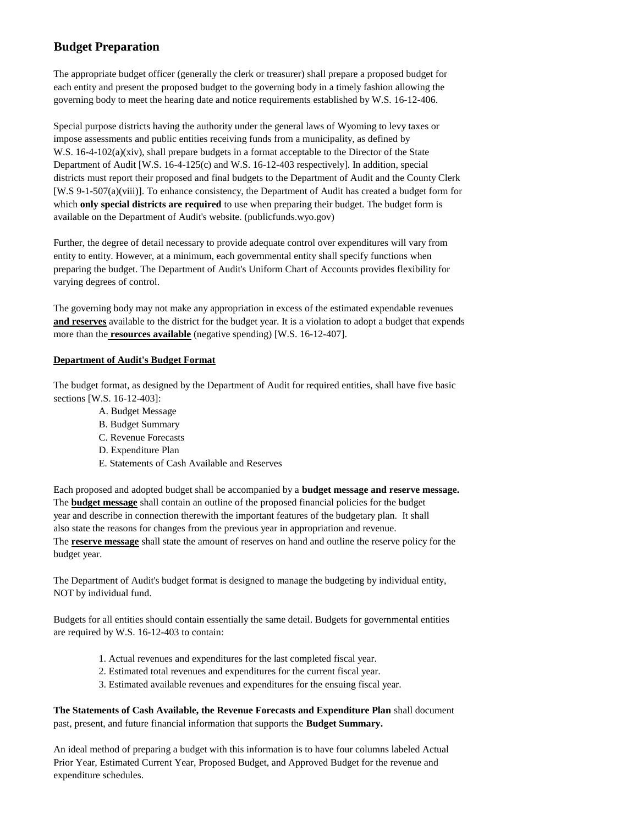## **Budget Preparation**

The appropriate budget officer (generally the clerk or treasurer) shall prepare a proposed budget for each entity and present the proposed budget to the governing body in a timely fashion allowing the governing body to meet the hearing date and notice requirements established by W.S. 16-12-406.

Special purpose districts having the authority under the general laws of Wyoming to levy taxes or impose assessments and public entities receiving funds from a municipality, as defined by W.S. 16-4-102(a)(xiv), shall prepare budgets in a format acceptable to the Director of the State Department of Audit [W.S. 16-4-125(c) and W.S. 16-12-403 respectively]. In addition, special districts must report their proposed and final budgets to the Department of Audit and the County Clerk [W.S 9-1-507(a)(viii)]. To enhance consistency, the Department of Audit has created a budget form for which **only special districts are required** to use when preparing their budget. The budget form is available on the Department of Audit's website. (publicfunds.wyo.gov)

Further, the degree of detail necessary to provide adequate control over expenditures will vary from entity to entity. However, at a minimum, each governmental entity shall specify functions when preparing the budget. The Department of Audit's Uniform Chart of Accounts provides flexibility for varying degrees of control.

The governing body may not make any appropriation in excess of the estimated expendable revenues **and reserves** available to the district for the budget year. It is a violation to adopt a budget that expends more than the **resources available** (negative spending) [W.S. 16-12-407].

## **Department of Audit's Budget Format**

The budget format, as designed by the Department of Audit for required entities, shall have five basic sections [W.S. 16-12-403]:

- A. Budget Message
- B. Budget Summary
- C. Revenue Forecasts
- D. Expenditure Plan
- E. Statements of Cash Available and Reserves

Each proposed and adopted budget shall be accompanied by a **budget message and reserve message.** The **budget message** shall contain an outline of the proposed financial policies for the budget year and describe in connection therewith the important features of the budgetary plan. It shall also state the reasons for changes from the previous year in appropriation and revenue. The **reserve message** shall state the amount of reserves on hand and outline the reserve policy for the budget year.

The Department of Audit's budget format is designed to manage the budgeting by individual entity, NOT by individual fund.

Budgets for all entities should contain essentially the same detail. Budgets for governmental entities are required by W.S. 16-12-403 to contain:

- 1. Actual revenues and expenditures for the last completed fiscal year.
- 2. Estimated total revenues and expenditures for the current fiscal year.
- 3. Estimated available revenues and expenditures for the ensuing fiscal year.

**The Statements of Cash Available, the Revenue Forecasts and Expenditure Plan** shall document past, present, and future financial information that supports the **Budget Summary.**

An ideal method of preparing a budget with this information is to have four columns labeled Actual Prior Year, Estimated Current Year, Proposed Budget, and Approved Budget for the revenue and expenditure schedules.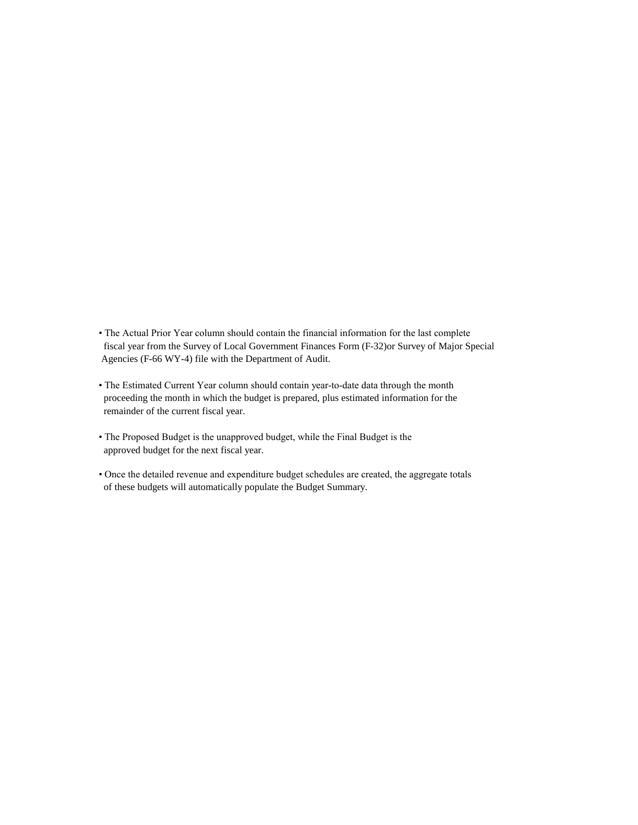- The Actual Prior Year column should contain the financial information for the last complete fiscal year from the Survey of Local Government Finances Form (F-32)or Survey of Major Special Agencies (F-66 WY-4) file with the Department of Audit.
- The Estimated Current Year column should contain year-to-date data through the month proceeding the month in which the budget is prepared, plus estimated information for the remainder of the current fiscal year.
- The Proposed Budget is the unapproved budget, while the Final Budget is the approved budget for the next fiscal year.
- Once the detailed revenue and expenditure budget schedules are created, the aggregate totals of these budgets will automatically populate the Budget Summary.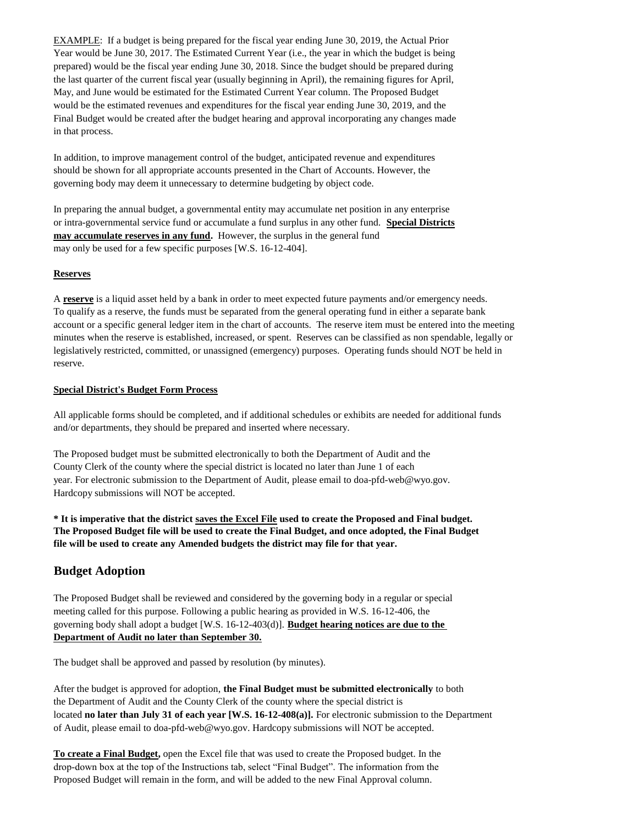EXAMPLE: If a budget is being prepared for the fiscal year ending June 30, 2019, the Actual Prior Year would be June 30, 2017. The Estimated Current Year (i.e., the year in which the budget is being prepared) would be the fiscal year ending June 30, 2018. Since the budget should be prepared during the last quarter of the current fiscal year (usually beginning in April), the remaining figures for April, May, and June would be estimated for the Estimated Current Year column. The Proposed Budget would be the estimated revenues and expenditures for the fiscal year ending June 30, 2019, and the Final Budget would be created after the budget hearing and approval incorporating any changes made in that process.

In addition, to improve management control of the budget, anticipated revenue and expenditures should be shown for all appropriate accounts presented in the Chart of Accounts. However, the governing body may deem it unnecessary to determine budgeting by object code.

In preparing the annual budget, a governmental entity may accumulate net position in any enterprise or intra-governmental service fund or accumulate a fund surplus in any other fund. **Special Districts may accumulate reserves in any fund.** However, the surplus in the general fund may only be used for a few specific purposes [W.S. 16-12-404].

## **Reserves**

A **reserve** is a liquid asset held by a bank in order to meet expected future payments and/or emergency needs. To qualify as a reserve, the funds must be separated from the general operating fund in either a separate bank account or a specific general ledger item in the chart of accounts. The reserve item must be entered into the meeting minutes when the reserve is established, increased, or spent. Reserves can be classified as non spendable, legally or legislatively restricted, committed, or unassigned (emergency) purposes. Operating funds should NOT be held in reserve.

## **Special District's Budget Form Process**

All applicable forms should be completed, and if additional schedules or exhibits are needed for additional funds and/or departments, they should be prepared and inserted where necessary.

The Proposed budget must be submitted electronically to both the Department of Audit and the County Clerk of the county where the special district is located no later than June 1 of each year. For electronic submission to the Department of Audit, please email to doa-pfd-web@wyo.gov. Hardcopy submissions will NOT be accepted.

**\* It is imperative that the district saves the Excel File used to create the Proposed and Final budget. The Proposed Budget file will be used to create the Final Budget, and once adopted, the Final Budget file will be used to create any Amended budgets the district may file for that year.**

## **Budget Adoption**

The Proposed Budget shall be reviewed and considered by the governing body in a regular or special meeting called for this purpose. Following a public hearing as provided in W.S. 16-12-406, the governing body shall adopt a budget [W.S. 16-12-403(d)]. **Budget hearing notices are due to the Department of Audit no later than September 30.**

The budget shall be approved and passed by resolution (by minutes).

After the budget is approved for adoption, **the Final Budget must be submitted electronically** to both the Department of Audit and the County Clerk of the county where the special district is located **no later than July 31 of each year [W.S. 16-12-408(a)].** For electronic submission to the Department of Audit, please email to doa-pfd-web@wyo.gov. Hardcopy submissions will NOT be accepted.

**To create a Final Budget,** open the Excel file that was used to create the Proposed budget. In the drop-down box at the top of the Instructions tab, select "Final Budget". The information from the Proposed Budget will remain in the form, and will be added to the new Final Approval column.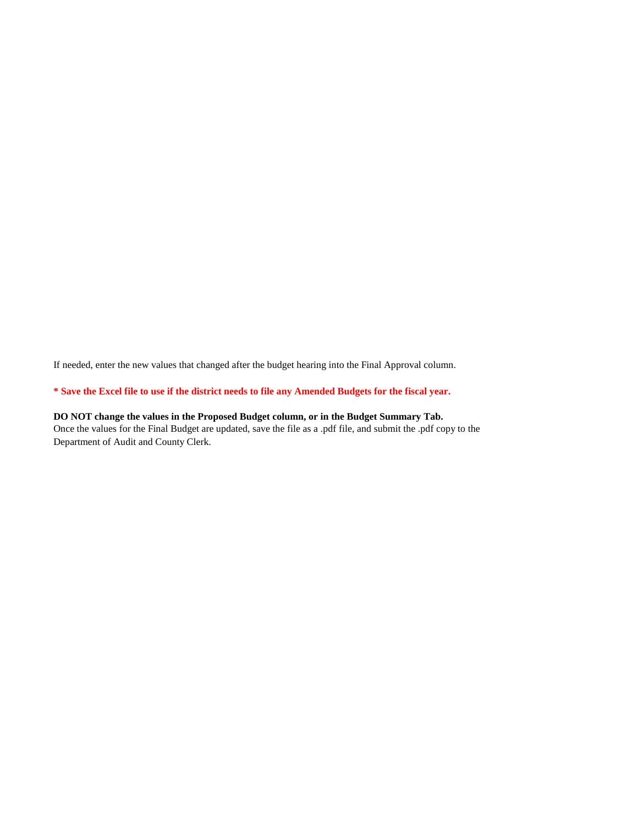If needed, enter the new values that changed after the budget hearing into the Final Approval column.

**\* Save the Excel file to use if the district needs to file any Amended Budgets for the fiscal year.**

## **DO NOT change the values in the Proposed Budget column, or in the Budget Summary Tab.**

Once the values for the Final Budget are updated, save the file as a .pdf file, and submit the .pdf copy to the Department of Audit and County Clerk.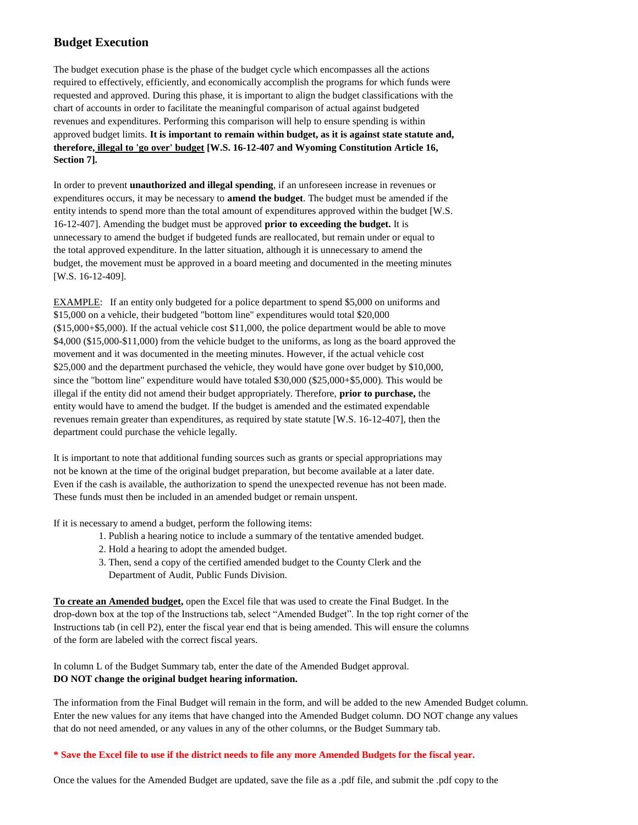## **Budget Execution**

The budget execution phase is the phase of the budget cycle which encompasses all the actions required to effectively, efficiently, and economically accomplish the programs for which funds were requested and approved. During this phase, it is important to align the budget classifications with the chart of accounts in order to facilitate the meaningful comparison of actual against budgeted revenues and expenditures. Performing this comparison will help to ensure spending is within approved budget limits. **It is important to remain within budget, as it is against state statute and, therefore, illegal to 'go over' budget [W.S. 16-12-407 and Wyoming Constitution Article 16, Section 7].**

In order to prevent **unauthorized and illegal spending**, if an unforeseen increase in revenues or expenditures occurs, it may be necessary to **amend the budget**. The budget must be amended if the entity intends to spend more than the total amount of expenditures approved within the budget [W.S. 16-12-407]. Amending the budget must be approved **prior to exceeding the budget.** It is unnecessary to amend the budget if budgeted funds are reallocated, but remain under or equal to the total approved expenditure. In the latter situation, although it is unnecessary to amend the budget, the movement must be approved in a board meeting and documented in the meeting minutes [W.S. 16-12-409].

EXAMPLE: If an entity only budgeted for a police department to spend \$5,000 on uniforms and \$15,000 on a vehicle, their budgeted "bottom line" expenditures would total \$20,000 (\$15,000+\$5,000). If the actual vehicle cost \$11,000, the police department would be able to move \$4,000 (\$15,000-\$11,000) from the vehicle budget to the uniforms, as long as the board approved the movement and it was documented in the meeting minutes. However, if the actual vehicle cost \$25,000 and the department purchased the vehicle, they would have gone over budget by \$10,000, since the "bottom line" expenditure would have totaled \$30,000 (\$25,000+\$5,000). This would be illegal if the entity did not amend their budget appropriately. Therefore, **prior to purchase,** the entity would have to amend the budget. If the budget is amended and the estimated expendable revenues remain greater than expenditures, as required by state statute [W.S. 16-12-407], then the department could purchase the vehicle legally.

It is important to note that additional funding sources such as grants or special appropriations may not be known at the time of the original budget preparation, but become available at a later date. Even if the cash is available, the authorization to spend the unexpected revenue has not been made. These funds must then be included in an amended budget or remain unspent.

If it is necessary to amend a budget, perform the following items:

- 1. Publish a hearing notice to include a summary of the tentative amended budget.
- 2. Hold a hearing to adopt the amended budget.
- 3. Then, send a copy of the certified amended budget to the County Clerk and the Department of Audit, Public Funds Division.

**To create an Amended budget,** open the Excel file that was used to create the Final Budget. In the drop-down box at the top of the Instructions tab, select "Amended Budget". In the top right corner of the Instructions tab (in cell P2), enter the fiscal year end that is being amended. This will ensure the columns of the form are labeled with the correct fiscal years.

In column L of the Budget Summary tab, enter the date of the Amended Budget approval. **DO NOT change the original budget hearing information.**

The information from the Final Budget will remain in the form, and will be added to the new Amended Budget column. Enter the new values for any items that have changed into the Amended Budget column. DO NOT change any values that do not need amended, or any values in any of the other columns, or the Budget Summary tab.

#### **\* Save the Excel file to use if the district needs to file any more Amended Budgets for the fiscal year.**

Once the values for the Amended Budget are updated, save the file as a .pdf file, and submit the .pdf copy to the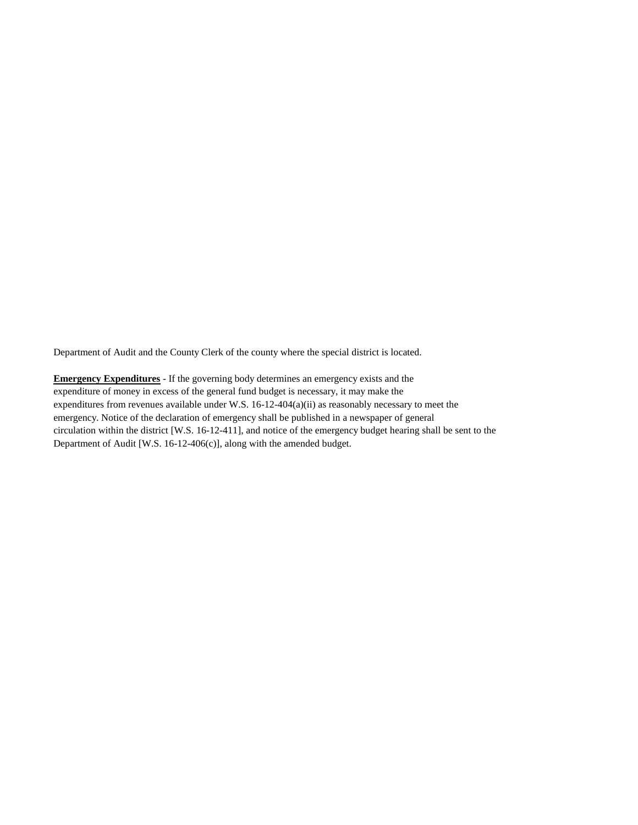Department of Audit and the County Clerk of the county where the special district is located.

**Emergency Expenditures** - If the governing body determines an emergency exists and the expenditure of money in excess of the general fund budget is necessary, it may make the expenditures from revenues available under W.S. 16-12-404(a)(ii) as reasonably necessary to meet the emergency. Notice of the declaration of emergency shall be published in a newspaper of general circulation within the district [W.S. 16-12-411], and notice of the emergency budget hearing shall be sent to the Department of Audit [W.S. 16-12-406(c)], along with the amended budget.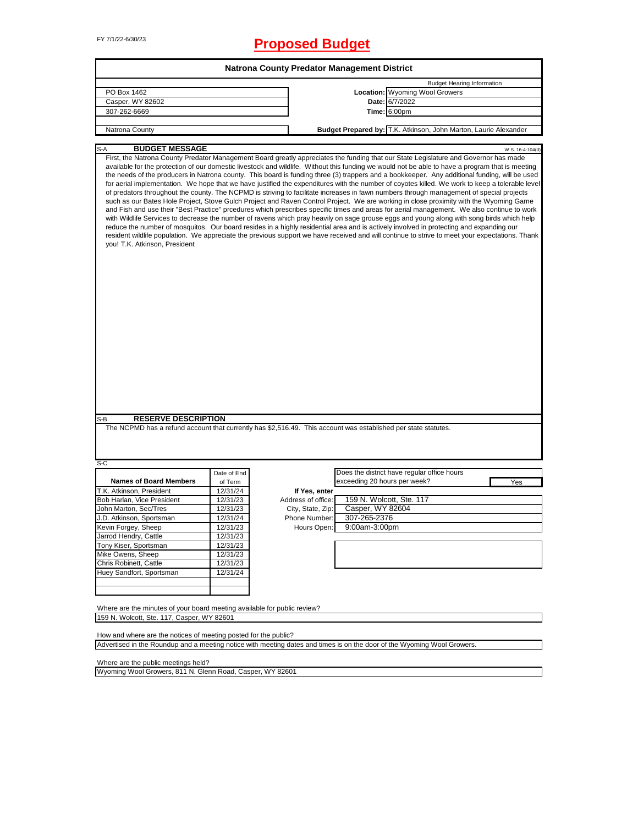## FY 7/1/22-6/30/23 **Proposed Budget**

|                                                                                                                         |             | Natrona County Predator Management District |                              |                                                                                                                                                                                                                                                                                                                                                                                                                                                                                                                                                                                                                                                                                                                                                                                                                                                                                                                                                                                                                                                                                                                                                                                                                                                                                                                                                                                                                                                                            |
|-------------------------------------------------------------------------------------------------------------------------|-------------|---------------------------------------------|------------------------------|----------------------------------------------------------------------------------------------------------------------------------------------------------------------------------------------------------------------------------------------------------------------------------------------------------------------------------------------------------------------------------------------------------------------------------------------------------------------------------------------------------------------------------------------------------------------------------------------------------------------------------------------------------------------------------------------------------------------------------------------------------------------------------------------------------------------------------------------------------------------------------------------------------------------------------------------------------------------------------------------------------------------------------------------------------------------------------------------------------------------------------------------------------------------------------------------------------------------------------------------------------------------------------------------------------------------------------------------------------------------------------------------------------------------------------------------------------------------------|
|                                                                                                                         |             |                                             |                              | <b>Budget Hearing Information</b>                                                                                                                                                                                                                                                                                                                                                                                                                                                                                                                                                                                                                                                                                                                                                                                                                                                                                                                                                                                                                                                                                                                                                                                                                                                                                                                                                                                                                                          |
| PO Box 1462                                                                                                             |             |                                             |                              | Location: Wyoming Wool Growers                                                                                                                                                                                                                                                                                                                                                                                                                                                                                                                                                                                                                                                                                                                                                                                                                                                                                                                                                                                                                                                                                                                                                                                                                                                                                                                                                                                                                                             |
| Casper, WY 82602                                                                                                        |             |                                             |                              | Date: 6/7/2022                                                                                                                                                                                                                                                                                                                                                                                                                                                                                                                                                                                                                                                                                                                                                                                                                                                                                                                                                                                                                                                                                                                                                                                                                                                                                                                                                                                                                                                             |
| 307-262-6669                                                                                                            |             |                                             |                              | <b>Time: 6:00pm</b>                                                                                                                                                                                                                                                                                                                                                                                                                                                                                                                                                                                                                                                                                                                                                                                                                                                                                                                                                                                                                                                                                                                                                                                                                                                                                                                                                                                                                                                        |
|                                                                                                                         |             |                                             |                              |                                                                                                                                                                                                                                                                                                                                                                                                                                                                                                                                                                                                                                                                                                                                                                                                                                                                                                                                                                                                                                                                                                                                                                                                                                                                                                                                                                                                                                                                            |
| Natrona County                                                                                                          |             |                                             |                              | Budget Prepared by: T.K. Atkinson, John Marton, Laurie Alexander                                                                                                                                                                                                                                                                                                                                                                                                                                                                                                                                                                                                                                                                                                                                                                                                                                                                                                                                                                                                                                                                                                                                                                                                                                                                                                                                                                                                           |
| <b>BUDGET MESSAGE</b><br>$S-A$                                                                                          |             |                                             |                              | W.S. 16-4-104(d)                                                                                                                                                                                                                                                                                                                                                                                                                                                                                                                                                                                                                                                                                                                                                                                                                                                                                                                                                                                                                                                                                                                                                                                                                                                                                                                                                                                                                                                           |
| you! T.K. Atkinson, President<br><b>RESERVE DESCRIPTION</b><br>S-B                                                      |             |                                             |                              | First, the Natrona County Predator Management Board greatly appreciates the funding that our State Legislature and Governor has made<br>available for the protection of our domestic livestock and wildlife. Without this funding we would not be able to have a program that is meeting<br>the needs of the producers in Natrona county. This board is funding three (3) trappers and a bookkeeper. Any additional funding, will be used<br>for aerial implementation. We hope that we have justified the expenditures with the number of coyotes killed. We work to keep a tolerable level<br>of predators throughout the county. The NCPMD is striving to facilitate increases in fawn numbers through management of special projects<br>such as our Bates Hole Project, Stove Gulch Project and Raven Control Project. We are working in close proximity with the Wyoming Game<br>and Fish and use their "Best Practice" prcedures which prescribes specific times and areas for aerial management. We also continue to work<br>with Wildlife Services to decrease the number of ravens which pray heavily on sage grouse eggs and young along with song birds which help<br>reduce the number of mosquitos. Our board resides in a highly residential area and is actively involved in protecting and expanding our<br>resident wildlife population. We appreciate the previous support we have received and will continue to strive to meet your expectations. Thank |
| The NCPMD has a refund account that currently has \$2,516.49. This account was established per state statutes.          |             |                                             |                              |                                                                                                                                                                                                                                                                                                                                                                                                                                                                                                                                                                                                                                                                                                                                                                                                                                                                                                                                                                                                                                                                                                                                                                                                                                                                                                                                                                                                                                                                            |
| S-C                                                                                                                     |             |                                             |                              |                                                                                                                                                                                                                                                                                                                                                                                                                                                                                                                                                                                                                                                                                                                                                                                                                                                                                                                                                                                                                                                                                                                                                                                                                                                                                                                                                                                                                                                                            |
|                                                                                                                         | Date of End |                                             |                              | Does the district have regular office hours                                                                                                                                                                                                                                                                                                                                                                                                                                                                                                                                                                                                                                                                                                                                                                                                                                                                                                                                                                                                                                                                                                                                                                                                                                                                                                                                                                                                                                |
| <b>Names of Board Members</b>                                                                                           | of Term     |                                             | exceeding 20 hours per week? | Yes                                                                                                                                                                                                                                                                                                                                                                                                                                                                                                                                                                                                                                                                                                                                                                                                                                                                                                                                                                                                                                                                                                                                                                                                                                                                                                                                                                                                                                                                        |
| T.K. Atkinson, President                                                                                                | 12/31/24    | If Yes, enter                               |                              |                                                                                                                                                                                                                                                                                                                                                                                                                                                                                                                                                                                                                                                                                                                                                                                                                                                                                                                                                                                                                                                                                                                                                                                                                                                                                                                                                                                                                                                                            |
| Bob Harlan, Vice President                                                                                              | 12/31/23    | Address of office:                          |                              | 159 N. Wolcott, Ste. 117                                                                                                                                                                                                                                                                                                                                                                                                                                                                                                                                                                                                                                                                                                                                                                                                                                                                                                                                                                                                                                                                                                                                                                                                                                                                                                                                                                                                                                                   |
| John Marton, Sec/Tres                                                                                                   | 12/31/23    | City, State, Zip:                           | Casper, WY 82604             |                                                                                                                                                                                                                                                                                                                                                                                                                                                                                                                                                                                                                                                                                                                                                                                                                                                                                                                                                                                                                                                                                                                                                                                                                                                                                                                                                                                                                                                                            |
| J.D. Atkinson, Sportsman                                                                                                | 12/31/24    | Phone Number:                               | 307-265-2376                 |                                                                                                                                                                                                                                                                                                                                                                                                                                                                                                                                                                                                                                                                                                                                                                                                                                                                                                                                                                                                                                                                                                                                                                                                                                                                                                                                                                                                                                                                            |
| Kevin Forgey, Sheep                                                                                                     | 12/31/23    | Hours Open:                                 | 9:00am-3:00pm                |                                                                                                                                                                                                                                                                                                                                                                                                                                                                                                                                                                                                                                                                                                                                                                                                                                                                                                                                                                                                                                                                                                                                                                                                                                                                                                                                                                                                                                                                            |
| Jarrod Hendry, Cattle                                                                                                   | 12/31/23    |                                             |                              |                                                                                                                                                                                                                                                                                                                                                                                                                                                                                                                                                                                                                                                                                                                                                                                                                                                                                                                                                                                                                                                                                                                                                                                                                                                                                                                                                                                                                                                                            |
| Tony Kiser, Sportsman                                                                                                   | 12/31/23    |                                             |                              |                                                                                                                                                                                                                                                                                                                                                                                                                                                                                                                                                                                                                                                                                                                                                                                                                                                                                                                                                                                                                                                                                                                                                                                                                                                                                                                                                                                                                                                                            |
| Mike Owens, Sheep                                                                                                       | 12/31/23    |                                             |                              |                                                                                                                                                                                                                                                                                                                                                                                                                                                                                                                                                                                                                                                                                                                                                                                                                                                                                                                                                                                                                                                                                                                                                                                                                                                                                                                                                                                                                                                                            |
| Chris Robinett, Cattle                                                                                                  | 12/31/23    |                                             |                              |                                                                                                                                                                                                                                                                                                                                                                                                                                                                                                                                                                                                                                                                                                                                                                                                                                                                                                                                                                                                                                                                                                                                                                                                                                                                                                                                                                                                                                                                            |
| Huey Sandfort, Sportsman                                                                                                | 12/31/24    |                                             |                              |                                                                                                                                                                                                                                                                                                                                                                                                                                                                                                                                                                                                                                                                                                                                                                                                                                                                                                                                                                                                                                                                                                                                                                                                                                                                                                                                                                                                                                                                            |
|                                                                                                                         |             |                                             |                              |                                                                                                                                                                                                                                                                                                                                                                                                                                                                                                                                                                                                                                                                                                                                                                                                                                                                                                                                                                                                                                                                                                                                                                                                                                                                                                                                                                                                                                                                            |
| Where are the minutes of your board meeting available for public review?<br>159 N. Wolcott, Ste. 117, Casper, WY 82601  |             |                                             |                              |                                                                                                                                                                                                                                                                                                                                                                                                                                                                                                                                                                                                                                                                                                                                                                                                                                                                                                                                                                                                                                                                                                                                                                                                                                                                                                                                                                                                                                                                            |
| How and where are the notices of meeting posted for the public?                                                         |             |                                             |                              |                                                                                                                                                                                                                                                                                                                                                                                                                                                                                                                                                                                                                                                                                                                                                                                                                                                                                                                                                                                                                                                                                                                                                                                                                                                                                                                                                                                                                                                                            |
| Advertised in the Roundup and a meeting notice with meeting dates and times is on the door of the Wyoming Wool Growers. |             |                                             |                              |                                                                                                                                                                                                                                                                                                                                                                                                                                                                                                                                                                                                                                                                                                                                                                                                                                                                                                                                                                                                                                                                                                                                                                                                                                                                                                                                                                                                                                                                            |
| Where are the public meetings held?                                                                                     |             |                                             |                              |                                                                                                                                                                                                                                                                                                                                                                                                                                                                                                                                                                                                                                                                                                                                                                                                                                                                                                                                                                                                                                                                                                                                                                                                                                                                                                                                                                                                                                                                            |
|                                                                                                                         |             |                                             |                              |                                                                                                                                                                                                                                                                                                                                                                                                                                                                                                                                                                                                                                                                                                                                                                                                                                                                                                                                                                                                                                                                                                                                                                                                                                                                                                                                                                                                                                                                            |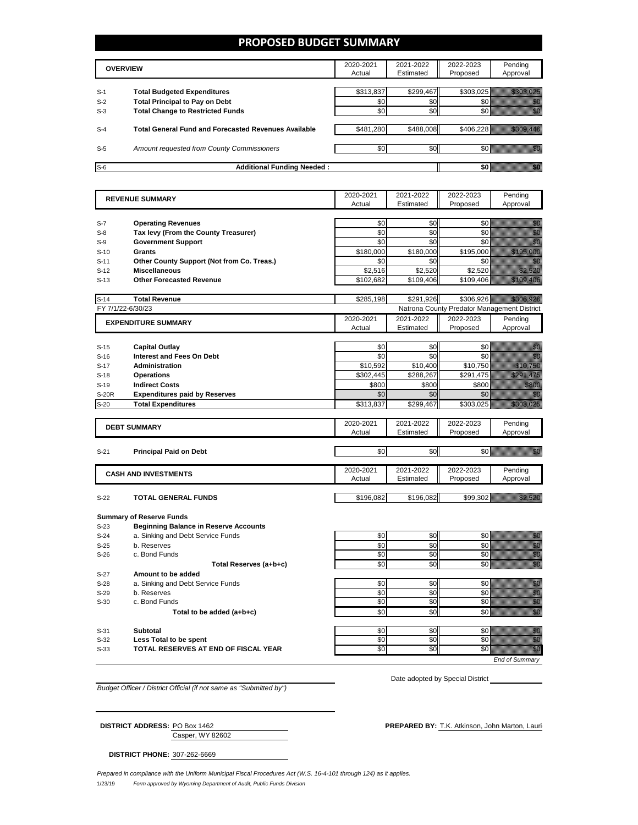## **PROPOSED BUDGET SUMMARY**

|       | <b>OVERVIEW</b>                                             | 2020-2021<br>Actual | 2021-2022<br>Estimated | 2022-2023<br>Proposed | Pending<br>Approval |
|-------|-------------------------------------------------------------|---------------------|------------------------|-----------------------|---------------------|
| $S-1$ | <b>Total Budgeted Expenditures</b>                          | \$313,837           | \$299,467              | \$303,025             |                     |
| $S-2$ | <b>Total Principal to Pay on Debt</b>                       | \$0                 | \$0                    |                       |                     |
| $S-3$ | <b>Total Change to Restricted Funds</b>                     | \$0                 | \$0                    |                       |                     |
| $S-4$ | <b>Total General Fund and Forecasted Revenues Available</b> | \$481.280           | \$488,008              | \$406.228             |                     |
| $S-5$ | Amount requested from County Commissioners                  | \$0                 | \$0                    |                       |                     |
| $S-6$ | <b>Additional Funding Needed:</b>                           |                     |                        |                       |                     |

| <b>REVENUE SUMMARY</b> |                                              | 2020-2021 | 2021-2022 | 2022-2023                                   | Pending                                                                                                                                                                                                                              |
|------------------------|----------------------------------------------|-----------|-----------|---------------------------------------------|--------------------------------------------------------------------------------------------------------------------------------------------------------------------------------------------------------------------------------------|
|                        |                                              | Actual    | Estimated | Proposed                                    | Approval                                                                                                                                                                                                                             |
|                        |                                              |           |           |                                             |                                                                                                                                                                                                                                      |
| $S-7$                  | <b>Operating Revenues</b>                    | \$0       | \$0       | \$0                                         | en de la familie de la familie de la familie de la familie de la familie de la familie de la familie de la fam<br>Constituit de la familie de la familie de la familie de la familie de la familie de la familie de la familie d     |
| $S-8$                  | Tax levy (From the County Treasurer)         | \$0       | \$0       | \$0                                         | en de la familie de la familie de la familie de la familie de la familie de la familie de la familie de la fam<br>Construction de la familie de la familie de la familie de la familie de la familie de la familie de la familie     |
| $S-9$                  | <b>Government Support</b>                    | \$0       | \$0       | \$0                                         | en de la familie de la familie de la familie de la familie de la familie de la familie de la familie de la fam<br>Construction de la familie de la familie de la familie de la familie de la familie de la familie de la familie     |
| $S-10$                 | Grants                                       | \$180,000 | \$180,000 | \$195,000                                   | <u> Mariji (Mariji) (</u>                                                                                                                                                                                                            |
| $S-11$                 | Other County Support (Not from Co. Treas.)   | \$0       | \$0       | \$0                                         | en de la familie de la familie de la familie de la familie de la familie de la familie de la familie de la fam<br>De la familie de la familie de la familie de la familie de la familie de la familie de la familie de la famili     |
| $S-12$                 | <b>Miscellaneous</b>                         | \$2,516   | \$2,520   | \$2,520                                     | <u>Maria B</u>                                                                                                                                                                                                                       |
| $S-13$                 | <b>Other Forecasted Revenue</b>              | \$102,682 | \$109,406 | \$109,406                                   | <u> Mariji (</u>                                                                                                                                                                                                                     |
|                        |                                              |           |           |                                             |                                                                                                                                                                                                                                      |
| $S-14$                 | <b>Total Revenue</b>                         | \$285,198 | \$291,926 | \$306,926                                   | <u> Harristo III.</u>                                                                                                                                                                                                                |
|                        | FY 7/1/22-6/30/23                            |           |           | Natrona County Predator Management District |                                                                                                                                                                                                                                      |
|                        | <b>EXPENDITURE SUMMARY</b>                   | 2020-2021 | 2021-2022 | 2022-2023                                   | Pending                                                                                                                                                                                                                              |
|                        |                                              | Actual    | Estimated | Proposed                                    | Approval                                                                                                                                                                                                                             |
|                        |                                              |           |           |                                             |                                                                                                                                                                                                                                      |
| $S-15$                 | <b>Capital Outlay</b>                        | \$0       | \$0       | \$0                                         | an dhe                                                                                                                                                                                                                               |
| $S-16$                 | <b>Interest and Fees On Debt</b>             | \$0       | \$0       | \$0                                         | en de la familie de la familie de la familie de la familie de la familie de la familie de la familie de la fa<br>Concelho de la familie de la familie de la familie de la familie de la familie de la familie de la familie de<br>Co |
| $S-17$                 | <b>Administration</b>                        | \$10,592  | \$10,400  | \$10,750                                    | <u> Maria Maria I</u>                                                                                                                                                                                                                |
| $S-18$                 | <b>Operations</b>                            | \$302,445 | \$288,267 | \$291,475                                   | <u>Tiliki k</u>                                                                                                                                                                                                                      |
| $S-19$                 | <b>Indirect Costs</b>                        | \$800     | \$800     | \$800                                       | <u>tik k</u>                                                                                                                                                                                                                         |
| S-20R                  | <b>Expenditures paid by Reserves</b>         | \$0       | \$0       | \$0                                         | en de la familie de la familie de la familie de la familie de la familie de la familie de la familie de la fam<br>De la familie de la familie de la familie de la familie de la familie de la familie de la familie de la famili     |
| $S-20$                 | <b>Total Expenditures</b>                    | \$313,837 | \$299,467 | \$303,025                                   | <u> Kalèndher Ka</u>                                                                                                                                                                                                                 |
|                        |                                              |           |           |                                             |                                                                                                                                                                                                                                      |
|                        |                                              | 2020-2021 | 2021-2022 | 2022-2023                                   | Pending                                                                                                                                                                                                                              |
|                        | <b>DEBT SUMMARY</b>                          | Actual    | Estimated | Proposed                                    | Approval                                                                                                                                                                                                                             |
|                        |                                              |           |           |                                             |                                                                                                                                                                                                                                      |
| $S-21$                 | <b>Principal Paid on Debt</b>                | \$0       | \$0       | \$0                                         | en de la familie de la familie de la familie de la familie de la familie de la familie de la familie de la fam<br>Constitution de la familie de la familie de la familie de la familie de la familie de la familie de la familie     |
|                        |                                              |           |           |                                             |                                                                                                                                                                                                                                      |
|                        | <b>CASH AND INVESTMENTS</b>                  | 2020-2021 | 2021-2022 | 2022-2023                                   | Pending                                                                                                                                                                                                                              |
|                        |                                              | Actual    | Estimated | Proposed                                    | Approval                                                                                                                                                                                                                             |
|                        |                                              |           |           |                                             |                                                                                                                                                                                                                                      |
| $S-22$                 | <b>TOTAL GENERAL FUNDS</b>                   | \$196.082 | \$196.082 | \$99.302                                    | <u>, and a complete the complete state</u>                                                                                                                                                                                           |
|                        |                                              |           |           |                                             |                                                                                                                                                                                                                                      |
|                        | <b>Summary of Reserve Funds</b>              |           |           |                                             |                                                                                                                                                                                                                                      |
| $S-23$                 | <b>Beginning Balance in Reserve Accounts</b> |           |           |                                             |                                                                                                                                                                                                                                      |
| $S-24$                 | a. Sinking and Debt Service Funds            | \$0       | \$0       | \$0                                         | en de la filosofia<br>Altredo                                                                                                                                                                                                        |
| $S-25$                 | b. Reserves                                  | \$0       | \$0       | \$0                                         | e de la composición de la composición de la composición de la composición de la composición de la composición<br>Campo de la composición de la composición de la composición de la composición de la composición de la composic      |
| $S-26$                 | c. Bond Funds                                | \$0       | \$0       | \$0                                         |                                                                                                                                                                                                                                      |
|                        | Total Reserves (a+b+c)                       | \$0       | \$0       | \$0                                         | en de la familie de la familie de la familie de la familie de la familie de la familie de la familie de la fam<br>Construction de la familie de la familie de la familie de la familie de la familie de la familie de la familie     |
| $S-27$                 | Amount to be added                           |           |           |                                             |                                                                                                                                                                                                                                      |
| $S-28$                 | a. Sinking and Debt Service Funds            | \$0       | \$0       | \$0                                         |                                                                                                                                                                                                                                      |
| $S-29$                 | b. Reserves                                  | \$0       | \$0       | \$0                                         |                                                                                                                                                                                                                                      |
| $S-30$                 | c. Bond Funds                                | \$0       | \$0       | \$0                                         | e de la composición de la composición de la composición de la composición de la composición de la composición<br>Campo de la composición de la composición de la composición de la composición de la composición de la composic      |
|                        | Total to be added (a+b+c)                    | \$0       | \$0       | \$0                                         | en<br>Geografia                                                                                                                                                                                                                      |
|                        |                                              |           |           |                                             |                                                                                                                                                                                                                                      |
| $S-31$                 | <b>Subtotal</b>                              | \$0       | \$0       | \$0                                         |                                                                                                                                                                                                                                      |
| $S-32$                 | Less Total to be spent                       | \$0       | \$0       | \$0                                         | e de la provincia de la construcción de la construcción de la construcción de la construcción de la construcció<br>Construcción                                                                                                      |
| $S-33$                 | TOTAL RESERVES AT END OF FISCAL YEAR         | \$0       | \$0       | \$0                                         | en de la filosofia<br>Altres de la filòlogía                                                                                                                                                                                         |
|                        |                                              |           |           |                                             | End of Summary                                                                                                                                                                                                                       |
|                        |                                              |           |           |                                             |                                                                                                                                                                                                                                      |

*Budget Officer / District Official (if not same as "Submitted by")*

Date adopted by Special District

| <b>DISTRICT ADDRESS: PO Box 1462</b> |                  | <b>PREPARED BY:</b> T.K. Atkinson. John Marton. Lauri |
|--------------------------------------|------------------|-------------------------------------------------------|
|                                      | Casper. WY 82602 |                                                       |

**DISTRICT PHONE:** 307-262-6669

1/23/19 *Form approved by Wyoming Department of Audit, Public Funds Division Prepared in compliance with the Uniform Municipal Fiscal Procedures Act (W.S. 16-4-101 through 124) as it applies.*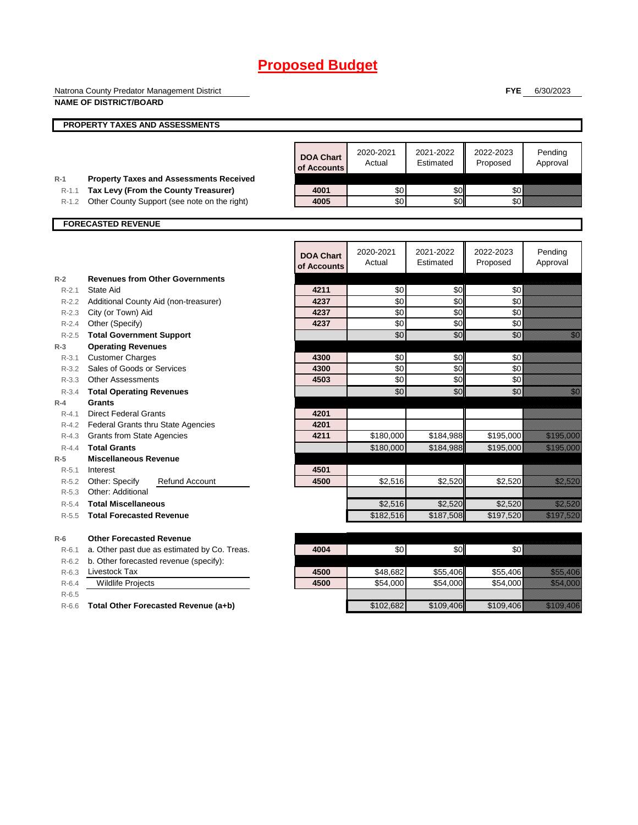|                    | Natrona County Predator Management District                                          |                                 |                     |                        | <b>FYE</b>            | 6/30/2023                                                                                                                                                                                                                        |
|--------------------|--------------------------------------------------------------------------------------|---------------------------------|---------------------|------------------------|-----------------------|----------------------------------------------------------------------------------------------------------------------------------------------------------------------------------------------------------------------------------|
|                    | <b>NAME OF DISTRICT/BOARD</b>                                                        |                                 |                     |                        |                       |                                                                                                                                                                                                                                  |
|                    | PROPERTY TAXES AND ASSESSMENTS                                                       |                                 |                     |                        |                       |                                                                                                                                                                                                                                  |
|                    |                                                                                      |                                 |                     |                        |                       |                                                                                                                                                                                                                                  |
|                    |                                                                                      | <b>DOA Chart</b><br>of Accounts | 2020-2021<br>Actual | 2021-2022<br>Estimated | 2022-2023<br>Proposed | Pending<br>Approval                                                                                                                                                                                                              |
| $R-1$<br>$R-1.1$   | <b>Property Taxes and Assessments Received</b>                                       | 4001                            | \$0                 | \$0                    | \$0                   |                                                                                                                                                                                                                                  |
| $R-1.2$            | Tax Levy (From the County Treasurer)<br>Other County Support (see note on the right) | 4005                            | \$0                 | \$0                    | \$0                   |                                                                                                                                                                                                                                  |
|                    |                                                                                      |                                 |                     |                        |                       |                                                                                                                                                                                                                                  |
|                    | <b>FORECASTED REVENUE</b>                                                            |                                 |                     |                        |                       |                                                                                                                                                                                                                                  |
|                    |                                                                                      | <b>DOA Chart</b><br>of Accounts | 2020-2021<br>Actual | 2021-2022<br>Estimated | 2022-2023<br>Proposed | Pending<br>Approval                                                                                                                                                                                                              |
| $R-2$              | <b>Revenues from Other Governments</b>                                               |                                 |                     |                        |                       |                                                                                                                                                                                                                                  |
| $R-2.1$            | State Aid                                                                            | 4211                            | \$0                 | \$0                    | \$0                   |                                                                                                                                                                                                                                  |
|                    | R-2.2 Additional County Aid (non-treasurer)                                          | 4237                            | \$0                 | \$0                    | \$0                   |                                                                                                                                                                                                                                  |
|                    | R-2.3 City (or Town) Aid                                                             | 4237                            | \$0                 | \$0                    | \$0                   |                                                                                                                                                                                                                                  |
| $R - 2.4$          | Other (Specify)                                                                      | 4237                            | \$0                 | \$0                    | \$0                   |                                                                                                                                                                                                                                  |
| $R-2.5$            | <b>Total Government Support</b>                                                      |                                 | \$0                 | \$0                    | \$0                   | en de la familie de la familie de la familie de la familie de la familie de la familie de la familie de la fam<br>Constituit de la familie de la familie de la familie de la familie de la familie de la familie de la familie d |
| $R-3$              | <b>Operating Revenues</b>                                                            |                                 |                     |                        |                       |                                                                                                                                                                                                                                  |
| $R - 3.1$<br>R-3.2 | <b>Customer Charges</b><br>Sales of Goods or Services                                | 4300<br>4300                    | \$0<br>\$0          | \$0<br>\$0             | \$0<br>\$0            |                                                                                                                                                                                                                                  |
|                    | R-3.3 Other Assessments                                                              | 4503                            | \$0                 | \$0                    | \$0                   |                                                                                                                                                                                                                                  |
| $R - 3.4$          | <b>Total Operating Revenues</b>                                                      |                                 | \$0                 | \$0                    | \$0                   | en de la facta de la facta de la facta de la facta de la facta de la facta de la facta de la facta de la facta<br>Constituidad                                                                                                   |
| $R-4$              | <b>Grants</b>                                                                        |                                 |                     |                        |                       |                                                                                                                                                                                                                                  |
| $R - 4.1$          | <b>Direct Federal Grants</b>                                                         | 4201                            |                     |                        |                       |                                                                                                                                                                                                                                  |
|                    | R-4.2 Federal Grants thru State Agencies                                             | 4201                            |                     |                        |                       |                                                                                                                                                                                                                                  |
|                    | R-4.3 Grants from State Agencies                                                     | 4211                            | \$180,000           | \$184,988              | \$195,000             | <u>Martin Sa</u>                                                                                                                                                                                                                 |
| $R - 4.4$          | <b>Total Grants</b>                                                                  |                                 | \$180,000           | \$184.988              | \$195,000             | <u>The Company of the Company of the Company of the Company of the Company of the Company of the Company of the </u>                                                                                                             |
| $R-5$              | <b>Miscellaneous Revenue</b>                                                         |                                 |                     |                        |                       |                                                                                                                                                                                                                                  |
| $R - 5.1$          | Interest                                                                             | 4501                            |                     |                        |                       |                                                                                                                                                                                                                                  |
| $R-5.2$            | Other: Specify<br><b>Refund Account</b>                                              | 4500                            | \$2,516             | \$2,520                | \$2,520               | a katika katika katika katika katika katika katika katika katika katika katika katika katika katika katika kat<br>Katika katika katika katika katika katika katika katika katika katika katika katika katika katika katika katik |
|                    | R-5.3 Other: Additional                                                              |                                 |                     |                        |                       |                                                                                                                                                                                                                                  |
| $R-5.4$            | <b>Total Miscellaneous</b>                                                           |                                 | \$2,516             | \$2,520                | \$2,520               | <u>Mariji ya K</u>                                                                                                                                                                                                               |
| $R - 5.5$          | <b>Total Forecasted Revenue</b>                                                      |                                 | \$182,516           | \$187,508              | \$197,520             | <u>Tarihin ka</u>                                                                                                                                                                                                                |
| $R-6$              | <b>Other Forecasted Revenue</b>                                                      |                                 |                     |                        |                       |                                                                                                                                                                                                                                  |
| $R-6.1$            | a. Other past due as estimated by Co. Treas.                                         | 4004                            | \$0                 | \$0                    | \$0                   |                                                                                                                                                                                                                                  |
| $R-6.2$            | b. Other forecasted revenue (specify):                                               |                                 |                     |                        |                       |                                                                                                                                                                                                                                  |
| $R-6.3$            | Livestock Tax                                                                        | 4500                            | \$48,682            | \$55,406               | \$55,406              | <u> Karl Barat Sala</u>                                                                                                                                                                                                          |
| $R-6.4$            | <b>Wildlife Projects</b>                                                             | 4500                            | \$54,000            | \$54,000               | \$54,000              | <u> Karl Sara</u>                                                                                                                                                                                                                |
| $R-6.5$            |                                                                                      |                                 |                     |                        |                       |                                                                                                                                                                                                                                  |
| $R-6.6$            | Total Other Forecasted Revenue (a+b)                                                 |                                 | \$102,682           | \$109.406              | \$109,406             | a katalunggal katalunggal katalunggal katalunggal katalunggal katalunggal katalunggal katalunggal katalunggal<br>Katalunggal katalunggal katalunggal katalunggal katalunggal katalunggal katalunggal katalunggal katalunggal ka  |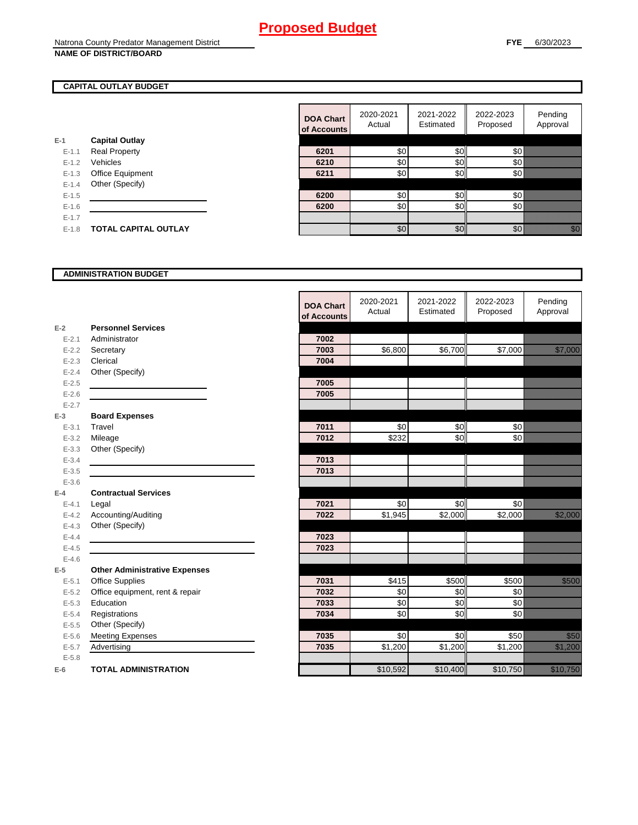## **CAPITAL OUTLAY BUDGET**

| F-1     | <b>Capital Outlay</b>       |
|---------|-----------------------------|
| $F-11$  | Real Property               |
| $F-12$  | Vehicles                    |
| $F-1.3$ | <b>Office Equipment</b>     |
| $F-14$  | Other (Specify)             |
| $F-1.5$ |                             |
| $F-16$  |                             |
| $F-17$  |                             |
| $F-1.8$ | <b>TOTAL CAPITAL OUTLAY</b> |
|         |                             |

|           |                             | <b>DOA Chart</b><br>of Accounts | 2020-2021<br>Actual | 2021-2022<br>Estimated | 2022-2023<br>Proposed | Pending<br>Approval                                                                                                                                                                                                             |
|-----------|-----------------------------|---------------------------------|---------------------|------------------------|-----------------------|---------------------------------------------------------------------------------------------------------------------------------------------------------------------------------------------------------------------------------|
|           | <b>Capital Outlay</b>       |                                 |                     |                        |                       |                                                                                                                                                                                                                                 |
| $E - 1.1$ | <b>Real Property</b>        | 6201                            | \$0                 | \$0                    | \$0                   |                                                                                                                                                                                                                                 |
| $E - 1.2$ | Vehicles                    | 6210                            | \$0                 | \$0                    | \$0                   |                                                                                                                                                                                                                                 |
| $E - 1.3$ | Office Equipment            | 6211                            | \$0                 | \$0                    | \$0                   |                                                                                                                                                                                                                                 |
| $E - 1.4$ | Other (Specify)             |                                 |                     |                        |                       |                                                                                                                                                                                                                                 |
| $E-1.5$   |                             | 6200                            | \$0                 | \$0                    | \$0                   |                                                                                                                                                                                                                                 |
| $E-1.6$   |                             | 6200                            | \$0                 | \$0                    | 30 <sup>l</sup>       |                                                                                                                                                                                                                                 |
| $E - 1.7$ |                             |                                 |                     |                        |                       |                                                                                                                                                                                                                                 |
| $E-1.8$   | <b>TOTAL CAPITAL OUTLAY</b> |                                 | \$0                 | \$0                    | 30 <sup>8</sup>       | en de la familie de la familie de la familie de la familie de la familie de la familie de la familie de la fam<br>Concelle de la familie de la familie de la familie de la familie de la familie de la familie de la familie de |

## **ADMINISTRATION BUDGET**

|           |                                      | <b>DOA Chart</b><br>of Accounts | 2020-2021<br>Actual | 2021-2022<br>Estimated | 2022-2023<br>Proposed | Pending<br>Approval                                                                                                    |
|-----------|--------------------------------------|---------------------------------|---------------------|------------------------|-----------------------|------------------------------------------------------------------------------------------------------------------------|
| $E-2$     | <b>Personnel Services</b>            |                                 |                     |                        |                       |                                                                                                                        |
| $E - 2.1$ | Administrator                        | 7002                            |                     |                        |                       |                                                                                                                        |
| $E - 2.2$ | Secretary                            | 7003                            | \$6,800             | \$6,700                | \$7,000               | <u>tions and the second second in the second second in the second second in the second second in the second second</u> |
| $E - 2.3$ | Clerical                             | 7004                            |                     |                        |                       |                                                                                                                        |
| $E - 2.4$ | Other (Specify)                      |                                 |                     |                        |                       |                                                                                                                        |
| $E - 2.5$ |                                      | 7005                            |                     |                        |                       |                                                                                                                        |
| $E - 2.6$ |                                      | 7005                            |                     |                        |                       |                                                                                                                        |
| $E - 2.7$ |                                      |                                 |                     |                        |                       |                                                                                                                        |
| $E-3$     | <b>Board Expenses</b>                |                                 |                     |                        |                       |                                                                                                                        |
| $E - 3.1$ | Travel                               | 7011                            | \$0                 | \$0                    | \$0                   |                                                                                                                        |
| $E - 3.2$ | Mileage                              | 7012                            | \$232               | \$0                    | \$0                   |                                                                                                                        |
| $E - 3.3$ | Other (Specify)                      |                                 |                     |                        |                       |                                                                                                                        |
| $E - 3.4$ |                                      | 7013                            |                     |                        |                       |                                                                                                                        |
| $E - 3.5$ |                                      | 7013                            |                     |                        |                       |                                                                                                                        |
| $E - 3.6$ |                                      |                                 |                     |                        |                       |                                                                                                                        |
| $E-4$     | <b>Contractual Services</b>          |                                 |                     |                        |                       |                                                                                                                        |
| $E - 4.1$ | Legal                                | 7021                            | \$0                 | \$0                    | \$0                   |                                                                                                                        |
| $E-4.2$   | Accounting/Auditing                  | 7022                            | \$1,945             | \$2,000                | \$2,000               | <u>till framförfattar en sta</u>                                                                                       |
| $E - 4.3$ | Other (Specify)                      |                                 |                     |                        |                       |                                                                                                                        |
| $E - 4.4$ |                                      | 7023                            |                     |                        |                       |                                                                                                                        |
| $E-4.5$   |                                      | 7023                            |                     |                        |                       |                                                                                                                        |
| $E-4.6$   |                                      |                                 |                     |                        |                       |                                                                                                                        |
| $E-5$     | <b>Other Administrative Expenses</b> |                                 |                     |                        |                       |                                                                                                                        |
| $E - 5.1$ | <b>Office Supplies</b>               | 7031                            | \$415               | \$500                  | \$500                 | <u>tion and</u>                                                                                                        |
| $E - 5.2$ | Office equipment, rent & repair      | 7032                            | \$0                 | \$0                    | \$0                   |                                                                                                                        |
| $E - 5.3$ | Education                            | 7033                            | $\sqrt{6}$          | \$0                    | $\frac{6}{3}$         |                                                                                                                        |
| $E - 5.4$ | Registrations                        | 7034                            | $\overline{60}$     | \$0                    | \$0                   |                                                                                                                        |
| $E-5.5$   | Other (Specify)                      |                                 |                     |                        |                       |                                                                                                                        |
| $E - 5.6$ | <b>Meeting Expenses</b>              | 7035                            | \$0                 | \$0                    | \$50                  | <u>i k</u>                                                                                                             |
| $E - 5.7$ | Advertising                          | 7035                            | \$1,200             | $\overline{$}1,200$    | \$1,200               | <u> Karlin Sara</u>                                                                                                    |
| $E - 5.8$ |                                      |                                 |                     |                        |                       |                                                                                                                        |
| $E-6$     | <b>TOTAL ADMINISTRATION</b>          |                                 | \$10,592            | \$10,400               | \$10,750              | a katika katika katika katika katika katika ali                                                                        |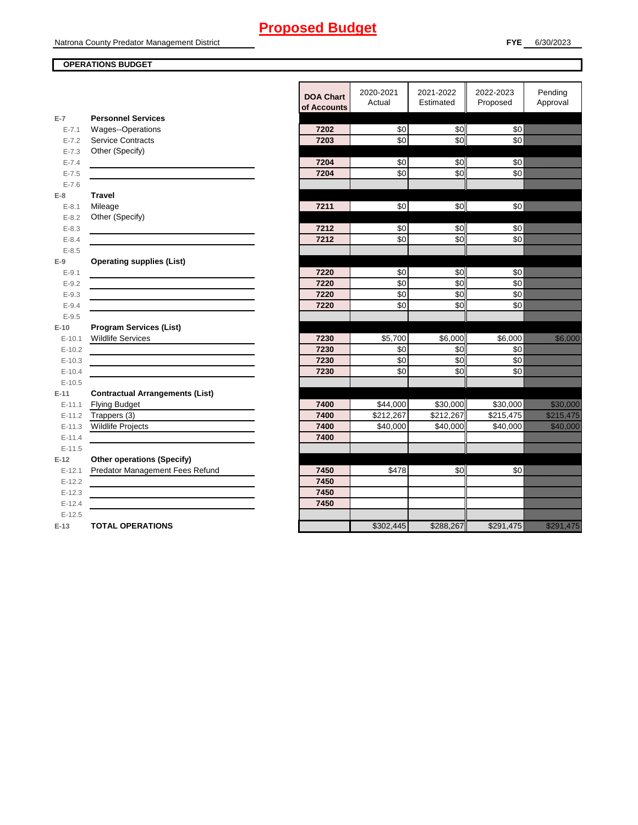## **OPERATIONS BUDGET**

|                      |                                                    | <b>DOA Chart</b><br>of Accounts | 2020-2021<br>Actual   | 2021-2022<br>Estimated | 2022-2023<br>Proposed | Pending<br>Approval                                                                                                                                                                                                                    |
|----------------------|----------------------------------------------------|---------------------------------|-----------------------|------------------------|-----------------------|----------------------------------------------------------------------------------------------------------------------------------------------------------------------------------------------------------------------------------------|
| $E-7$                | <b>Personnel Services</b>                          |                                 |                       |                        |                       |                                                                                                                                                                                                                                        |
| $E - 7.1$            | Wages--Operations                                  | 7202                            | \$0                   | \$0                    | \$0                   |                                                                                                                                                                                                                                        |
| $E - 7.2$            | <b>Service Contracts</b>                           | 7203                            | \$0                   | $\overline{30}$        | \$0                   |                                                                                                                                                                                                                                        |
| $E - 7.3$            | Other (Specify)                                    |                                 |                       |                        |                       |                                                                                                                                                                                                                                        |
| $E - 7.4$            |                                                    | 7204                            | \$0                   | \$0                    | \$0                   |                                                                                                                                                                                                                                        |
| $E - 7.5$            |                                                    | 7204                            | $\overline{50}$       | $\overline{30}$        | \$0                   |                                                                                                                                                                                                                                        |
| $E - 7.6$            |                                                    |                                 |                       |                        |                       |                                                                                                                                                                                                                                        |
| $E-8$                | <b>Travel</b>                                      |                                 |                       |                        |                       |                                                                                                                                                                                                                                        |
| $E - 8.1$            | Mileage                                            | 7211                            | \$0                   | \$0                    | \$0                   |                                                                                                                                                                                                                                        |
| $E - 8.2$            | Other (Specify)                                    |                                 |                       |                        |                       |                                                                                                                                                                                                                                        |
| $E - 8.3$            |                                                    | 7212                            | $\frac{6}{3}$         | \$0                    | \$0                   |                                                                                                                                                                                                                                        |
| $E - 8.4$            |                                                    | 7212                            | \$0                   | $\overline{30}$        | \$0                   |                                                                                                                                                                                                                                        |
| $E - 8.5$            |                                                    |                                 |                       |                        |                       |                                                                                                                                                                                                                                        |
| $E-9$                | <b>Operating supplies (List)</b>                   |                                 |                       |                        |                       |                                                                                                                                                                                                                                        |
| $E-9.1$              |                                                    | 7220                            | $\sqrt{6}$            | \$0                    | \$0                   |                                                                                                                                                                                                                                        |
| $E - 9.2$            |                                                    | 7220                            | \$0                   | \$0                    | \$0                   |                                                                                                                                                                                                                                        |
| $E - 9.3$            |                                                    | 7220                            | \$0                   | \$0                    | \$0                   |                                                                                                                                                                                                                                        |
| $E-9.4$              |                                                    | 7220                            | \$0                   | \$0                    | \$0                   |                                                                                                                                                                                                                                        |
| $E - 9.5$            |                                                    |                                 |                       |                        |                       |                                                                                                                                                                                                                                        |
| $E-10$               | <b>Program Services (List)</b>                     |                                 |                       |                        |                       |                                                                                                                                                                                                                                        |
| $E-10.1$             | <b>Wildlife Services</b>                           | 7230                            | \$5,700               | \$6,000                | \$6,000               | <u>ting and the second second</u>                                                                                                                                                                                                      |
| $E-10.2$             |                                                    | 7230                            | \$0                   | \$0                    | \$0                   |                                                                                                                                                                                                                                        |
| $E-10.3$             |                                                    | 7230                            | \$0                   | \$0                    | \$0                   |                                                                                                                                                                                                                                        |
| $E-10.4$             |                                                    | 7230                            | $\sqrt{6}$            | \$0                    | \$0                   |                                                                                                                                                                                                                                        |
| $E-10.5$             |                                                    |                                 |                       |                        |                       |                                                                                                                                                                                                                                        |
| $E-11$               | <b>Contractual Arrangements (List)</b>             |                                 |                       |                        |                       |                                                                                                                                                                                                                                        |
| $E-11.1$             | <b>Flying Budget</b>                               | 7400<br>7400                    | \$44,000<br>\$212,267 | \$30,000<br>\$212,267  | \$30,000              | <u> Karl Sara</u>                                                                                                                                                                                                                      |
| $E-11.2$             | Trappers (3)                                       | 7400                            | \$40,000              | \$40,000               | \$215,475<br>\$40,000 | a katika katika katika katika alikuwa na matsa ya katika matsa ya katika alikuwa na matsa ya katika alikuwa na<br><u> Timografia a shekara ta 1999 a shekara ta 1999 a shekara ta 1999 a shekara ta 1999 a shekara ta 1999 a sheka</u> |
| $E-11.3$<br>$E-11.4$ | <b>Wildlife Projects</b>                           | 7400                            |                       |                        |                       |                                                                                                                                                                                                                                        |
| $E-11.5$             |                                                    |                                 |                       |                        |                       |                                                                                                                                                                                                                                        |
| $E-12$               | <b>Other operations (Specify)</b>                  |                                 |                       |                        |                       |                                                                                                                                                                                                                                        |
|                      | Predator Management Fees Refund                    | 7450                            | \$478                 | \$0                    | \$0                   |                                                                                                                                                                                                                                        |
| $E-12.1$<br>$E-12.2$ |                                                    | 7450                            |                       |                        |                       |                                                                                                                                                                                                                                        |
| $E-12.3$             | <u> 1989 - Johann Barn, amerikansk politiker (</u> | 7450                            |                       |                        |                       |                                                                                                                                                                                                                                        |
| $E-12.4$             |                                                    | 7450                            |                       |                        |                       |                                                                                                                                                                                                                                        |
| $E-12.5$             |                                                    |                                 |                       |                        |                       |                                                                                                                                                                                                                                        |
| $E-13$               | <b>TOTAL OPERATIONS</b>                            |                                 | \$302,445             | \$288,267              | \$291,475             |                                                                                                                                                                                                                                        |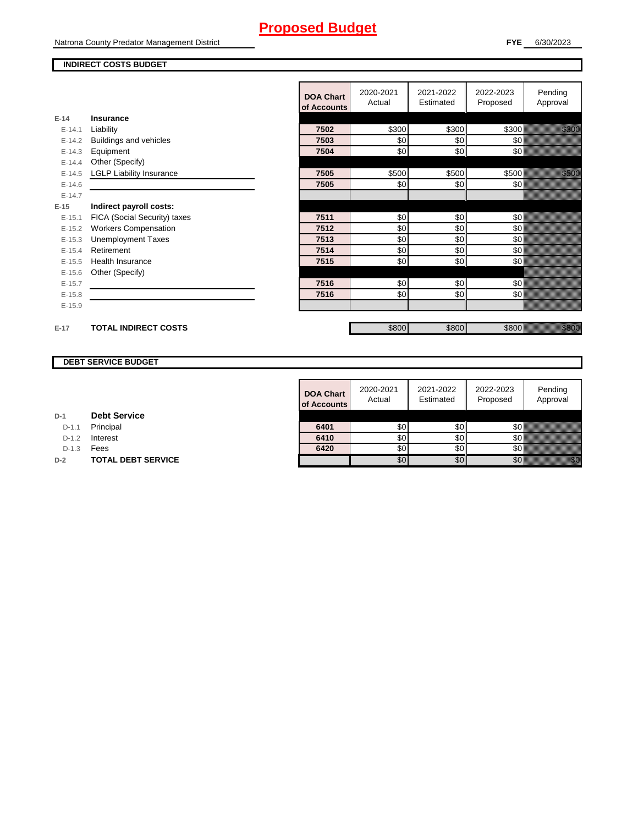Natrona County Predator Management District

## **INDIRECT COSTS BUDGET**

|          |                                 | <b>DOA Chart</b><br>of Accounts | 2020-2021<br>Actual | 2021-2022<br>Estimated | 2022-2023<br>Proposed | Pending<br>Approval                                                                                                                                         |
|----------|---------------------------------|---------------------------------|---------------------|------------------------|-----------------------|-------------------------------------------------------------------------------------------------------------------------------------------------------------|
| $E-14$   | Insurance                       |                                 |                     |                        |                       |                                                                                                                                                             |
| $E-14.1$ | Liability                       | 7502                            | \$300               | \$300                  | \$300                 | <u>till Sta</u>                                                                                                                                             |
| $E-14.2$ | Buildings and vehicles          | 7503                            | \$0                 | \$0                    | \$0                   |                                                                                                                                                             |
| $E-14.3$ | Equipment                       | 7504                            | \$0                 | \$0                    | \$0                   |                                                                                                                                                             |
| $E-14.4$ | Other (Specify)                 |                                 |                     |                        |                       |                                                                                                                                                             |
| $E-14.5$ | <b>LGLP Liability Insurance</b> | 7505                            | \$500               | \$500                  | \$500                 | <u>ti ka</u>                                                                                                                                                |
| $E-14.6$ |                                 | 7505                            | \$0                 | \$0                    | \$0                   |                                                                                                                                                             |
| $E-14.7$ |                                 |                                 |                     |                        |                       |                                                                                                                                                             |
| $E-15$   | Indirect payroll costs:         |                                 |                     |                        |                       |                                                                                                                                                             |
| $E-15.1$ | FICA (Social Security) taxes    | 7511                            | \$0                 | \$0                    | \$0                   |                                                                                                                                                             |
| $E-15.2$ | <b>Workers Compensation</b>     | 7512                            | \$0                 | \$0                    | \$0                   |                                                                                                                                                             |
| $E-15.3$ | <b>Unemployment Taxes</b>       | 7513                            | \$0                 | \$0                    | \$0                   |                                                                                                                                                             |
| $E-15.4$ | Retirement                      | 7514                            | \$0                 | \$0                    | \$0                   |                                                                                                                                                             |
| $E-15.5$ | <b>Health Insurance</b>         | 7515                            | \$0                 | \$0                    | \$0                   |                                                                                                                                                             |
| $E-15.6$ | Other (Specify)                 |                                 |                     |                        |                       |                                                                                                                                                             |
| $E-15.7$ |                                 | 7516                            | \$0                 | \$0                    | \$0                   |                                                                                                                                                             |
| $E-15.8$ |                                 | 7516                            | \$0                 | \$0                    | \$0                   |                                                                                                                                                             |
| $E-15.9$ |                                 |                                 |                     |                        |                       |                                                                                                                                                             |
| $E-17$   | <b>TOTAL INDIRECT COSTS</b>     |                                 | \$800               | \$800                  | \$800                 | <u>i k</u> alendari komunistas (h. 1972).<br>NGC 1972 - NGC 1972 NASA ENGLISH NASA ENGLISH NASA ENGLISH NASA ENGLISH NASA ENGLISH NASA ENGLISH NASA ENGLISH |

## **DEBT SERVICE BUDGET**

|         |                           | <b>DOA Chart</b><br>of Accounts | 2020-2021<br>Actual | 2021-2022<br>Estimated | 2022-2023<br>Proposed | Pending<br>Approval |
|---------|---------------------------|---------------------------------|---------------------|------------------------|-----------------------|---------------------|
|         | <b>Debt Service</b>       |                                 |                     |                        |                       |                     |
| $D-1.1$ | Principal                 | 6401                            | \$0                 | \$0I                   | \$0                   |                     |
| $D-1.2$ | Interest                  | 6410                            | \$0                 | SOII                   | \$0                   |                     |
| $D-1.3$ | Fees                      | 6420                            | \$0                 | SOII                   | \$0                   |                     |
|         | <b>TOTAL DEBT SERVICE</b> |                                 | \$0                 | \$0                    | \$0                   | i kilik             |

| D-1 |  | <b>Debt Service</b> |
|-----|--|---------------------|
|-----|--|---------------------|

D-1.1 **Principal** 

D-1.2 **Interest** 

**D-2 TOTAL DEBT SERVICE**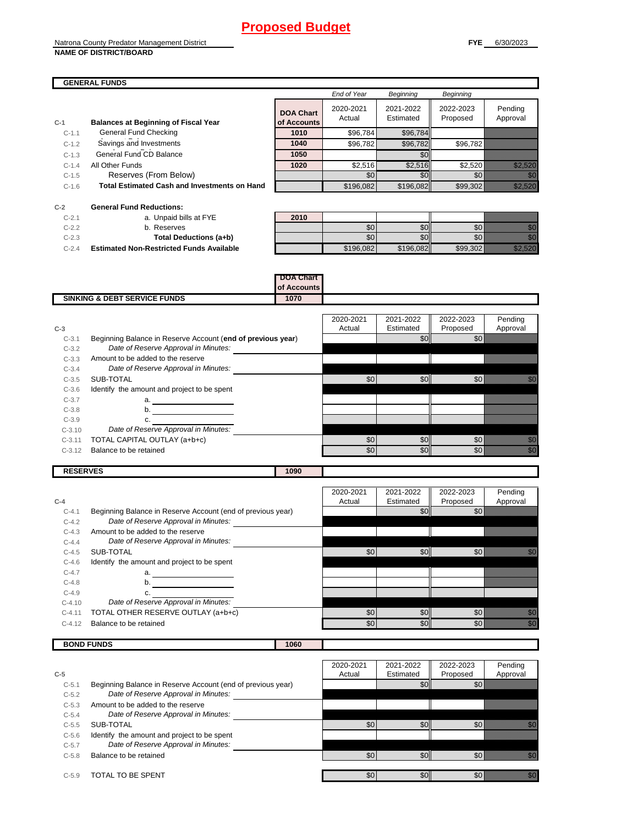#### Natrona County Predator Management District **NAME OF DISTRICT/BOARD**

|         | <b>GENERAL FUNDS</b>                                |                                 |                     |                        |                       |                     |
|---------|-----------------------------------------------------|---------------------------------|---------------------|------------------------|-----------------------|---------------------|
|         |                                                     |                                 | End of Year         | Beginning              | <b>Beginning</b>      |                     |
| $C-1$   | <b>Balances at Beginning of Fiscal Year</b>         | <b>DOA Chart</b><br>of Accounts | 2020-2021<br>Actual | 2021-2022<br>Estimated | 2022-2023<br>Proposed | Pending<br>Approval |
| $C-1.1$ | General Fund Checking                               | 1010                            | \$96,784            | \$96,784               |                       |                     |
| $C-1.2$ | Savings and Investments                             | 1040                            | \$96,782            | \$96,782               | \$96,782              |                     |
| $C-1.3$ | General Fund CD Balance                             | 1050                            |                     | \$0                    |                       |                     |
| $C-1.4$ | All Other Funds                                     | 1020                            | \$2,516             | \$2,516                | \$2,520               |                     |
| $C-1.5$ | Reserves (From Below)                               |                                 | \$0                 | \$0                    | \$0 <sub>1</sub>      |                     |
| $C-1.6$ | <b>Total Estimated Cash and Investments on Hand</b> |                                 | \$196,082           | \$196,082              | \$99,302              |                     |

| $C-2$     | <b>General Fund Reductions:</b>                 |      |           |                  |          |  |
|-----------|-------------------------------------------------|------|-----------|------------------|----------|--|
| $C-2.7$   | a. Unpaid bills at FYE                          | 2010 |           |                  |          |  |
| $C-2.2$   | b. Reserves                                     |      | \$01      | \$0II            |          |  |
| $C-2.3$   | Total Deductions (a+b)                          |      | -60       | \$0 <sub>1</sub> |          |  |
| $C - 2.4$ | <b>Estimated Non-Restricted Funds Available</b> |      | \$196.082 | \$196.082        | \$99.302 |  |

|    | 2010 |  |          |
|----|------|--|----------|
|    |      |  |          |
|    |      |  | ,,,,,,,, |
| le |      |  |          |

|                                         | DOA Chart   |  |
|-----------------------------------------|-------------|--|
|                                         | of Accounts |  |
| <b>SINKING &amp; DEBT SERVICE FUNDS</b> | 1070        |  |

| $C-3$    |                                                             | 2020-2021<br>Actual | 2021-2022<br>Estimated | 2022-2023<br>Proposed | Pendina<br>Approval |
|----------|-------------------------------------------------------------|---------------------|------------------------|-----------------------|---------------------|
| $C-3.1$  | Beginning Balance in Reserve Account (end of previous year) |                     | \$0                    | \$0                   |                     |
| $C-3.2$  | Date of Reserve Approval in Minutes:                        |                     |                        |                       |                     |
| $C-3.3$  | Amount to be added to the reserve                           |                     |                        |                       |                     |
| $C-3.4$  | Date of Reserve Approval in Minutes:                        |                     |                        |                       |                     |
| $C-3.5$  | SUB-TOTAL                                                   | \$0                 | \$0                    | \$0                   |                     |
| $C-3.6$  | Identify the amount and project to be spent                 |                     |                        |                       |                     |
| $C-3.7$  | a.                                                          |                     |                        |                       |                     |
| $C-3.8$  | b.                                                          |                     |                        |                       |                     |
| $C-3.9$  |                                                             |                     |                        |                       |                     |
| $C-3.10$ | Date of Reserve Approval in Minutes:                        |                     |                        |                       |                     |
| $C-3.11$ | TOTAL CAPITAL OUTLAY (a+b+c)                                | \$0                 | \$0                    | \$0                   |                     |
| $C-3.12$ | Balance to be retained                                      | \$0                 | \$0                    | \$0                   |                     |
|          |                                                             |                     |                        |                       |                     |

| <b>RESERVES</b> | 1090 |
|-----------------|------|

|           |                                                             | 2020-2021 | 2021-2022 | 2022-2023        | Pendina  |
|-----------|-------------------------------------------------------------|-----------|-----------|------------------|----------|
| $C-4$     |                                                             | Actual    | Estimated | Proposed         | Approval |
| $C - 4.1$ | Beginning Balance in Reserve Account (end of previous year) |           | \$0       | \$0              |          |
| $C-4.2$   | Date of Reserve Approval in Minutes:                        |           |           |                  |          |
| $C-4.3$   | Amount to be added to the reserve                           |           |           |                  |          |
| $C - 4.4$ | Date of Reserve Approval in Minutes:                        |           |           |                  |          |
| $C-4.5$   | SUB-TOTAL                                                   | \$0       | \$0       | \$0              |          |
| $C-4.6$   | Identify the amount and project to be spent                 |           |           |                  |          |
| $C-4.7$   | a.                                                          |           |           |                  |          |
| $C-4.8$   | b.                                                          |           |           |                  |          |
| $C-4.9$   | C.                                                          |           |           |                  |          |
| $C-4.10$  | Date of Reserve Approval in Minutes:                        |           |           |                  |          |
| $C-4.11$  | TOTAL OTHER RESERVE OUTLAY (a+b+c)                          | \$0       | \$0       | \$0 <sub>l</sub> |          |
| $C-4.12$  | Balance to be retained                                      | \$0       | \$0       | \$0              |          |
|           |                                                             |           |           |                  |          |

**BOND FUNDS** 1060

|           |                                                             | 2020-2021 | 2021-2022 | 2022-2023 | Pending  |
|-----------|-------------------------------------------------------------|-----------|-----------|-----------|----------|
| $C-5$     |                                                             | Actual    | Estimated | Proposed  | Approval |
| $C-5.1$   | Beginning Balance in Reserve Account (end of previous year) |           | \$0       | \$0       |          |
| $C-5.2$   | Date of Reserve Approval in Minutes:                        |           |           |           |          |
| $C-5.3$   | Amount to be added to the reserve                           |           |           |           |          |
| $C-5.4$   | Date of Reserve Approval in Minutes:                        |           |           |           |          |
| $C - 5.5$ | SUB-TOTAL                                                   | \$0       | \$OII     | \$በ       |          |
| $C - 5.6$ | Identify the amount and project to be spent                 |           |           |           |          |
| $C-5.7$   | Date of Reserve Approval in Minutes:                        |           |           |           |          |
| $C-5.8$   | Balance to be retained                                      | \$0       | \$0       | \$0       |          |
| $C-5.9$   | TOTAL TO BE SPENT                                           | \$0       | \$0       | \$0       |          |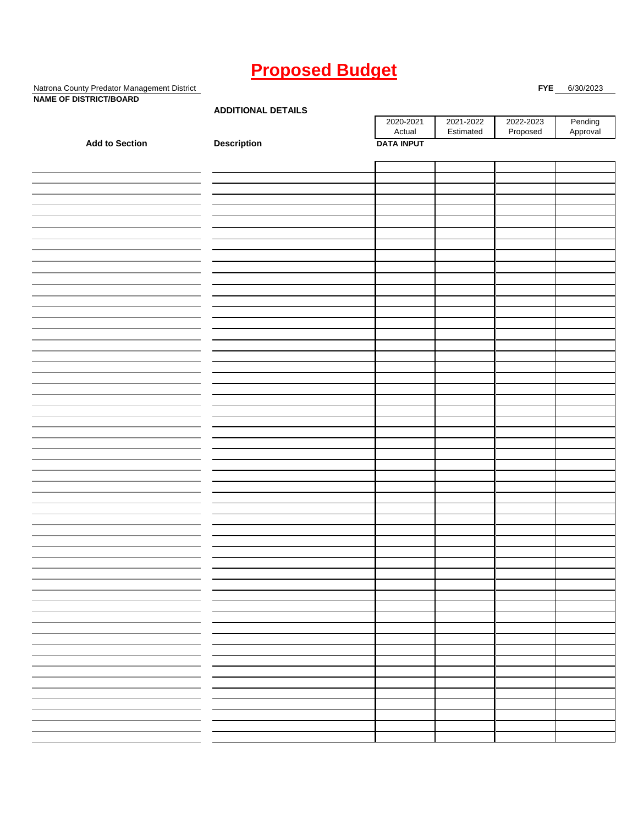Natrona County Predator Management District **FYE** 6/30/2023 **NAME OF DISTRICT/BOARD**

| <br>- -               | <b>ADDITIONAL DETAILS</b> |                     |                        |                       |                     |  |  |
|-----------------------|---------------------------|---------------------|------------------------|-----------------------|---------------------|--|--|
|                       |                           | 2020-2021<br>Actual | 2021-2022<br>Estimated | 2022-2023<br>Proposed | Pending<br>Approval |  |  |
| <b>Add to Section</b> | Description               | <b>DATA INPUT</b>   |                        |                       |                     |  |  |
|                       |                           |                     |                        |                       |                     |  |  |
|                       |                           |                     |                        |                       |                     |  |  |
|                       |                           |                     |                        |                       |                     |  |  |
|                       |                           |                     |                        |                       |                     |  |  |
|                       |                           |                     |                        |                       |                     |  |  |
|                       |                           |                     |                        |                       |                     |  |  |
|                       |                           |                     |                        |                       |                     |  |  |
|                       |                           |                     |                        |                       |                     |  |  |
|                       |                           |                     |                        |                       |                     |  |  |
|                       |                           |                     |                        |                       |                     |  |  |
|                       |                           |                     |                        |                       |                     |  |  |
|                       |                           |                     |                        |                       |                     |  |  |
|                       |                           |                     |                        |                       |                     |  |  |
|                       |                           |                     |                        |                       |                     |  |  |
|                       |                           |                     |                        |                       |                     |  |  |
|                       |                           |                     |                        |                       |                     |  |  |
|                       |                           |                     |                        |                       |                     |  |  |
|                       |                           |                     |                        |                       |                     |  |  |
|                       |                           |                     |                        |                       |                     |  |  |
|                       |                           |                     |                        |                       |                     |  |  |
|                       |                           |                     |                        |                       |                     |  |  |
|                       |                           |                     |                        |                       |                     |  |  |
|                       |                           |                     |                        |                       |                     |  |  |
|                       |                           |                     |                        |                       |                     |  |  |
|                       |                           |                     |                        |                       |                     |  |  |
|                       |                           |                     |                        |                       |                     |  |  |
|                       |                           |                     |                        |                       |                     |  |  |
|                       |                           |                     |                        |                       |                     |  |  |
|                       |                           |                     |                        |                       |                     |  |  |
|                       |                           |                     |                        |                       |                     |  |  |
|                       |                           |                     |                        |                       |                     |  |  |
|                       |                           |                     |                        |                       |                     |  |  |
|                       |                           |                     |                        |                       |                     |  |  |
|                       |                           |                     |                        |                       |                     |  |  |
|                       |                           |                     |                        |                       |                     |  |  |
|                       |                           |                     |                        |                       |                     |  |  |
|                       |                           |                     |                        |                       |                     |  |  |
|                       |                           |                     |                        |                       |                     |  |  |
|                       |                           |                     |                        |                       |                     |  |  |
|                       |                           |                     |                        |                       |                     |  |  |
|                       |                           |                     |                        |                       |                     |  |  |
|                       |                           |                     |                        |                       |                     |  |  |
|                       |                           |                     |                        |                       |                     |  |  |
|                       |                           |                     |                        |                       |                     |  |  |
|                       |                           |                     |                        |                       |                     |  |  |
|                       |                           |                     |                        |                       |                     |  |  |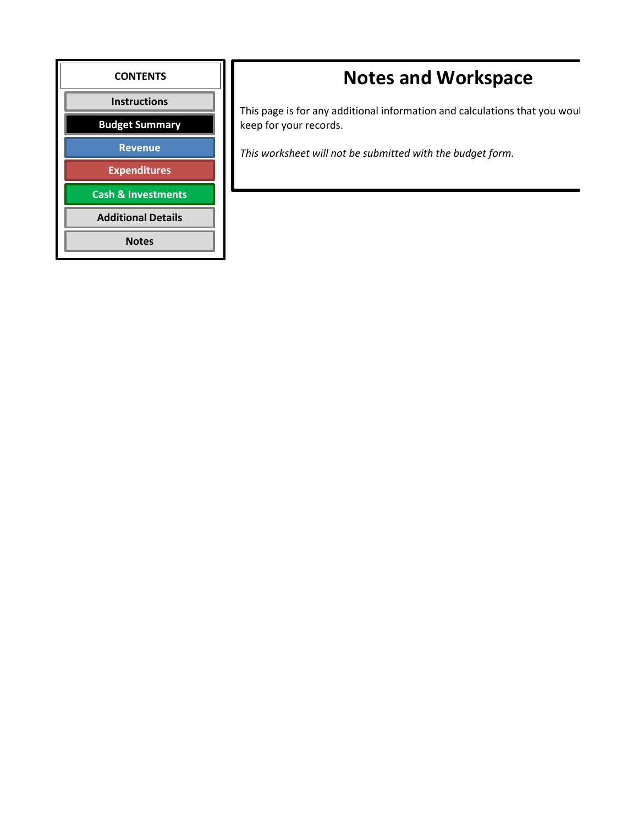

# **Notes and Workspace**

This page is for any additional information and calculations that you woul keep for your records.

*This worksheet will not be submitted with the budget form.*